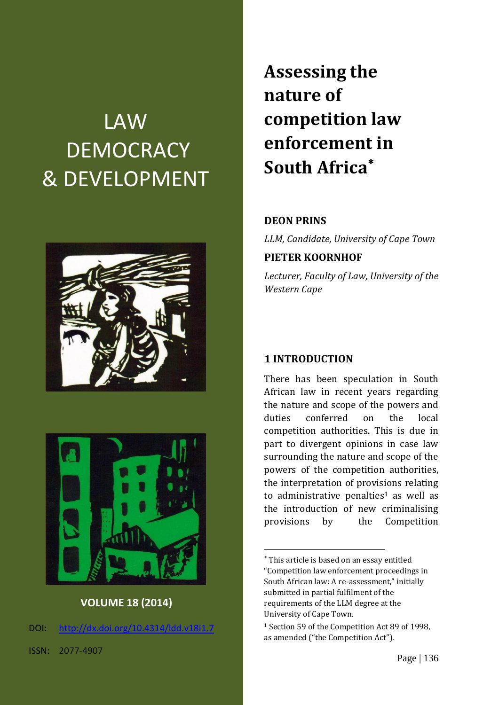# LAW **DEMOCRACY** & DEVELOPMENT





#### **VOLUME 18 (2014)**

DOI: [http://dx.doi.org/10.4314/ldd.v18i1.7](http://dx.doi.org/10.4314/ldd.v18i1.)

ISSN: 2077-4907

# **Assessing the nature of competition law enforcement in South Africa**

#### **DEON PRINS**

*LLM, Candidate, University of Cape Town*

#### **PIETER KOORNHOF**

*Lecturer, Faculty of Law, University of the Western Cape*

#### **1 INTRODUCTION**

1

There has been speculation in South African law in recent years regarding the nature and scope of the powers and duties conferred on the local competition authorities. This is due in part to divergent opinions in case law surrounding the nature and scope of the powers of the competition authorities, the interpretation of provisions relating to administrative penalties<sup>1</sup> as well as the introduction of new criminalising provisions by the Competition

This article is based on an essay entitled "Competition law enforcement proceedings in South African law: A re-assessment," initially submitted in partial fulfilment of the requirements of the LLM degree at the University of Cape Town.

<sup>1</sup> Section 59 of the Competition Act 89 of 1998, as amended ("the Competition Act").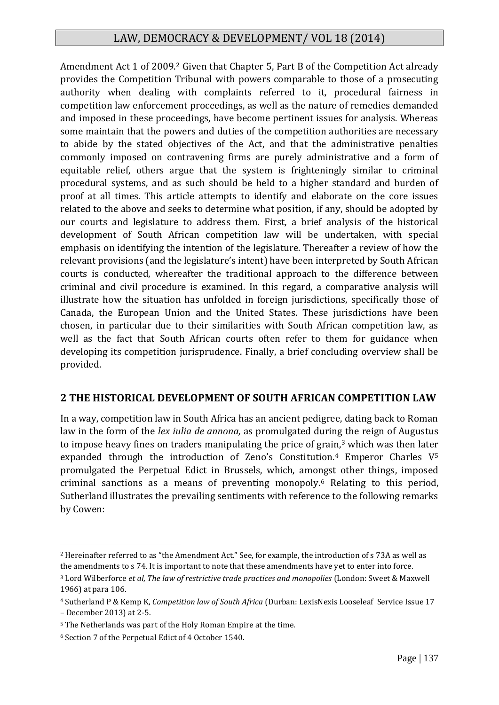Amendment Act 1 of 2009.<sup>2</sup> Given that Chapter 5, Part B of the Competition Act already provides the Competition Tribunal with powers comparable to those of a prosecuting authority when dealing with complaints referred to it, procedural fairness in competition law enforcement proceedings, as well as the nature of remedies demanded and imposed in these proceedings, have become pertinent issues for analysis. Whereas some maintain that the powers and duties of the competition authorities are necessary to abide by the stated objectives of the Act, and that the administrative penalties commonly imposed on contravening firms are purely administrative and a form of equitable relief, others argue that the system is frighteningly similar to criminal procedural systems, and as such should be held to a higher standard and burden of proof at all times. This article attempts to identify and elaborate on the core issues related to the above and seeks to determine what position, if any, should be adopted by our courts and legislature to address them. First, a brief analysis of the historical development of South African competition law will be undertaken, with special emphasis on identifying the intention of the legislature. Thereafter a review of how the relevant provisions (and the legislature's intent) have been interpreted by South African courts is conducted, whereafter the traditional approach to the difference between criminal and civil procedure is examined. In this regard, a comparative analysis will illustrate how the situation has unfolded in foreign jurisdictions, specifically those of Canada, the European Union and the United States. These jurisdictions have been chosen, in particular due to their similarities with South African competition law, as well as the fact that South African courts often refer to them for guidance when developing its competition jurisprudence. Finally, a brief concluding overview shall be provided.

# **2 THE HISTORICAL DEVELOPMENT OF SOUTH AFRICAN COMPETITION LAW**

In a way, competition law in South Africa has an ancient pedigree, dating back to Roman law in the form of the *lex iulia de annona,* as promulgated during the reign of Augustus to impose heavy fines on traders manipulating the price of grain,<sup>3</sup> which was then later expanded through the introduction of Zeno's Constitution.<sup>4</sup> Emperor Charles  $V^5$ promulgated the Perpetual Edict in Brussels, which, amongst other things, imposed criminal sanctions as a means of preventing monopoly.<sup>6</sup> Relating to this period, Sutherland illustrates the prevailing sentiments with reference to the following remarks by Cowen:

<sup>2</sup> Hereinafter referred to as "the Amendment Act." See, for example, the introduction of s 73A as well as the amendments to s 74. It is important to note that these amendments have yet to enter into force.

<sup>3</sup> Lord Wilberforce *et al*, *The law of restrictive trade practices and monopolies* (London: Sweet & Maxwell 1966) at para 106.

<sup>4</sup> Sutherland P & Kemp K, *Competition law of South Africa* (Durban: LexisNexis Looseleaf Service Issue 17 – December 2013) at 2-5.

<sup>5</sup> The Netherlands was part of the Holy Roman Empire at the time.

<sup>6</sup> Section 7 of the Perpetual Edict of 4 October 1540.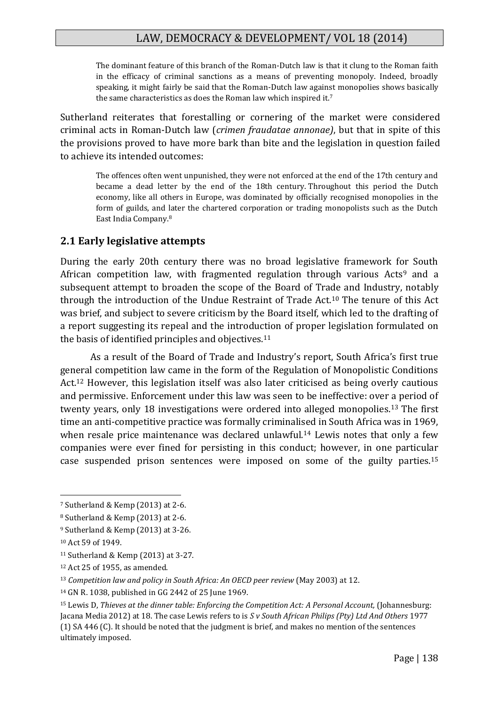The dominant feature of this branch of the Roman-Dutch law is that it clung to the Roman faith in the efficacy of criminal sanctions as a means of preventing monopoly. Indeed, broadly speaking, it might fairly be said that the Roman-Dutch law against monopolies shows basically the same characteristics as does the Roman law which inspired it.<sup>7</sup>

Sutherland reiterates that forestalling or cornering of the market were considered criminal acts in Roman-Dutch law (*crimen fraudatae annonae)*, but that in spite of this the provisions proved to have more bark than bite and the legislation in question failed to achieve its intended outcomes:

The offences often went unpunished, they were not enforced at the end of the 17th century and became a dead letter by the end of the 18th century. Throughout this period the Dutch economy, like all others in Europe, was dominated by officially recognised monopolies in the form of guilds, and later the chartered corporation or trading monopolists such as the Dutch East India Company.<sup>8</sup>

#### **2.1 Early legislative attempts**

During the early 20th century there was no broad legislative framework for South African competition law, with fragmented regulation through various Acts<sup>9</sup> and a subsequent attempt to broaden the scope of the Board of Trade and Industry, notably through the introduction of the Undue Restraint of Trade Act.<sup>10</sup> The tenure of this Act was brief, and subject to severe criticism by the Board itself, which led to the drafting of a report suggesting its repeal and the introduction of proper legislation formulated on the basis of identified principles and objectives.<sup>11</sup>

As a result of the Board of Trade and Industry's report, South Africa's first true general competition law came in the form of the Regulation of Monopolistic Conditions Act.<sup>12</sup> However, this legislation itself was also later criticised as being overly cautious and permissive. Enforcement under this law was seen to be ineffective: over a period of twenty years, only 18 investigations were ordered into alleged monopolies.<sup>13</sup> The first time an anti-competitive practice was formally criminalised in South Africa was in 1969, when resale price maintenance was declared unlawful.<sup>14</sup> Lewis notes that only a few companies were ever fined for persisting in this conduct; however, in one particular case suspended prison sentences were imposed on some of the guilty parties.<sup>15</sup>

<sup>7</sup> Sutherland & Kemp (2013) at 2-6.

<sup>8</sup> Sutherland & Kemp (2013) at 2-6.

<sup>9</sup> Sutherland & Kemp (2013) at 3-26.

<sup>10</sup> Act 59 of 1949.

<sup>11</sup> Sutherland & Kemp (2013) at 3-27.

<sup>12</sup> Act 25 of 1955, as amended.

<sup>13</sup> *Competition law and policy in South Africa: An OECD peer review* (May 2003) at 12.

<sup>14</sup> GN R. 1038, published in GG 2442 of 25 June 1969.

<sup>&</sup>lt;sup>15</sup> Lewis D, *Thieves at the dinner table: Enforcing the Competition Act: A Personal Account, (Johannesburg:* Jacana Media 2012) at 18. The case Lewis refers to is *S v South African Philips (Pty) Ltd And Others* 1977 (1) SA 446 (C). It should be noted that the judgment is brief, and makes no mention of the sentences ultimately imposed.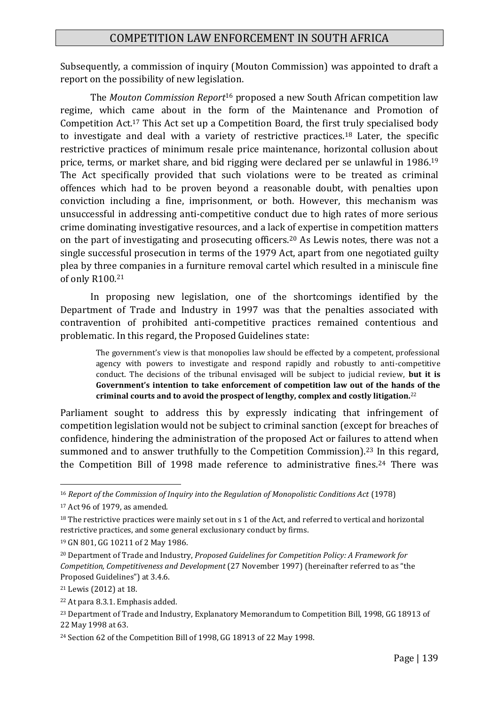Subsequently, a commission of inquiry (Mouton Commission) was appointed to draft a report on the possibility of new legislation.

The *Mouton Commission Report*<sup>16</sup> proposed a new South African competition law regime, which came about in the form of the Maintenance and Promotion of Competition Act.<sup>17</sup> This Act set up a Competition Board, the first truly specialised body to investigate and deal with a variety of restrictive practices.<sup>18</sup> Later, the specific restrictive practices of minimum resale price maintenance, horizontal collusion about price, terms, or market share, and bid rigging were declared per se unlawful in 1986.<sup>19</sup> The Act specifically provided that such violations were to be treated as criminal offences which had to be proven beyond a reasonable doubt, with penalties upon conviction including a fine, imprisonment, or both. However, this mechanism was unsuccessful in addressing anti-competitive conduct due to high rates of more serious crime dominating investigative resources, and a lack of expertise in competition matters on the part of investigating and prosecuting officers.<sup>20</sup> As Lewis notes, there was not a single successful prosecution in terms of the 1979 Act, apart from one negotiated guilty plea by three companies in a furniture removal cartel which resulted in a miniscule fine of only R100.<sup>21</sup>

In proposing new legislation, one of the shortcomings identified by the Department of Trade and Industry in 1997 was that the penalties associated with contravention of prohibited anti-competitive practices remained contentious and problematic. In this regard, the Proposed Guidelines state:

The government's view is that monopolies law should be effected by a competent, professional agency with powers to investigate and respond rapidly and robustly to anti-competitive conduct. The decisions of the tribunal envisaged will be subject to judicial review, **but it is Government's intention to take enforcement of competition law out of the hands of the criminal courts and to avoid the prospect of lengthy, complex and costly litigation.**<sup>22</sup>

Parliament sought to address this by expressly indicating that infringement of competition legislation would not be subject to criminal sanction (except for breaches of confidence, hindering the administration of the proposed Act or failures to attend when summoned and to answer truthfully to the Competition Commission).<sup>23</sup> In this regard, the Competition Bill of 1998 made reference to administrative fines.<sup>24</sup> There was

<sup>16</sup> *Report of the Commission of Inquiry into the Regulation of Monopolistic Conditions Act* (1978)

<sup>17</sup> Act 96 of 1979, as amended.

<sup>&</sup>lt;sup>18</sup> The restrictive practices were mainly set out in s 1 of the Act, and referred to vertical and horizontal restrictive practices, and some general exclusionary conduct by firms.

<sup>19</sup> GN 801, GG 10211 of 2 May 1986.

<sup>20</sup> Department of Trade and Industry, *Proposed Guidelines for Competition Policy: A Framework for Competition, Competitiveness and Development* (27 November 1997) (hereinafter referred to as "the Proposed Guidelines") at 3.4.6.

<sup>21</sup> Lewis (2012) at 18.

<sup>22</sup> At para 8.3.1. Emphasis added.

<sup>&</sup>lt;sup>23</sup> Department of Trade and Industry, Explanatory Memorandum to Competition Bill, 1998, GG 18913 of 22 May 1998 at 63.

<sup>24</sup> Section 62 of the Competition Bill of 1998, GG 18913 of 22 May 1998.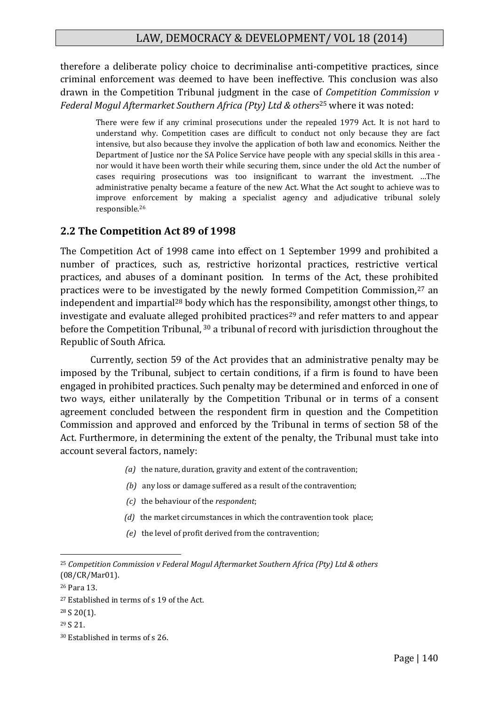therefore a deliberate policy choice to decriminalise anti-competitive practices, since criminal enforcement was deemed to have been ineffective. This conclusion was also drawn in the Competition Tribunal judgment in the case of *Competition Commission v Federal Mogul Aftermarket Southern Africa (Pty) Ltd & others*<sup>25</sup> where it was noted:

There were few if any criminal prosecutions under the repealed 1979 Act. It is not hard to understand why. Competition cases are difficult to conduct not only because they are fact intensive, but also because they involve the application of both law and economics. Neither the Department of Justice nor the SA Police Service have people with any special skills in this area nor would it have been worth their while securing them, since under the old Act the number of cases requiring prosecutions was too insignificant to warrant the investment. …The administrative penalty became a feature of the new Act. What the Act sought to achieve was to improve enforcement by making a specialist agency and adjudicative tribunal solely responsible.<sup>26</sup>

#### **2.2 The Competition Act 89 of 1998**

The Competition Act of 1998 came into effect on 1 September 1999 and prohibited a number of practices, such as, restrictive horizontal practices, restrictive vertical practices, and abuses of a dominant position. In terms of the Act, these prohibited practices were to be investigated by the newly formed Competition Commission,<sup>27</sup> an independent and impartial<sup>28</sup> body which has the responsibility, amongst other things, to investigate and evaluate alleged prohibited practices<sup>29</sup> and refer matters to and appear before the Competition Tribunal, <sup>30</sup> a tribunal of record with jurisdiction throughout the Republic of South Africa.

Currently, section 59 of the Act provides that an administrative penalty may be imposed by the Tribunal, subject to certain conditions, if a firm is found to have been engaged in prohibited practices. Such penalty may be determined and enforced in one of two ways, either unilaterally by the Competition Tribunal or in terms of a consent agreement concluded between the respondent firm in question and the Competition Commission and approved and enforced by the Tribunal in terms of section 58 of the Act. Furthermore, in determining the extent of the penalty, the Tribunal must take into account several factors, namely:

- *(a)* the nature, duration, gravity and extent of the contravention;
- *(b)* any loss or damage suffered as a result of the contravention;
- *(c)* the behaviour of the *respondent*;
- *(d)* the market circumstances in which the contravention took place;
- *(e)* the level of profit derived from the contravention;

1

<sup>29</sup> S 21.

<sup>25</sup> *Competition Commission v Federal Mogul Aftermarket Southern Africa (Pty) Ltd & others*  (08/CR/Mar01).

<sup>26</sup> Para 13.

<sup>27</sup> Established in terms of s 19 of the Act.

 $28 S 20(1)$ .

<sup>30</sup> Established in terms of s 26.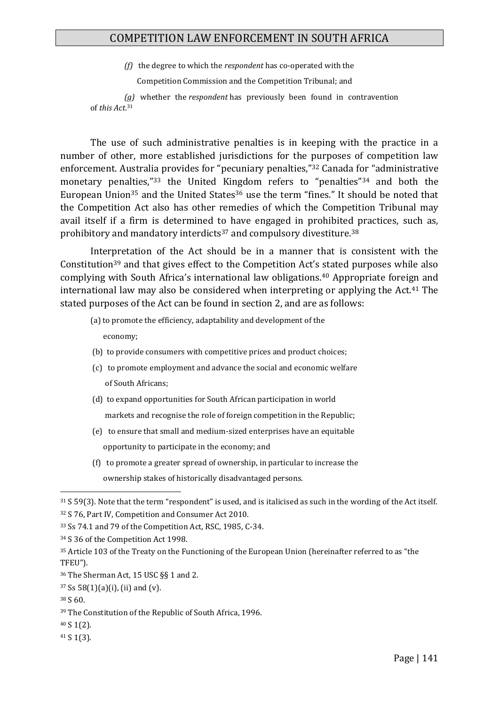*(f)* the degree to which the *respondent* has co-operated with the

Competition Commission and the Competition Tribunal; and

 *(g)* whether the *respondent* has previously been found in contravention of *this Act*. 31

The use of such administrative penalties is in keeping with the practice in a number of other, more established jurisdictions for the purposes of competition law enforcement. Australia provides for "pecuniary penalties,"<sup>32</sup> Canada for "administrative monetary penalties,"<sup>33</sup> the United Kingdom refers to "penalties"<sup>34</sup> and both the European Union<sup>35</sup> and the United States<sup>36</sup> use the term "fines." It should be noted that the Competition Act also has other remedies of which the Competition Tribunal may avail itself if a firm is determined to have engaged in prohibited practices, such as, prohibitory and mandatory interdicts<sup>37</sup> and compulsory divestiture.<sup>38</sup>

Interpretation of the Act should be in a manner that is consistent with the Constitution<sup>39</sup> and that gives effect to the Competition Act's stated purposes while also complying with South Africa's international law obligations.<sup>40</sup> Appropriate foreign and international law may also be considered when interpreting or applying the Act.<sup>41</sup> The stated purposes of the Act can be found in section 2, and are as follows:

(a) to promote the efficiency, adaptability and development of the

economy;

- (b) to provide consumers with competitive prices and product choices;
- (c) to promote employment and advance the social and economic welfare of South Africans;
- (d) to expand opportunities for South African participation in world markets and recognise the role of foreign competition in the Republic;
- (e) to ensure that small and medium-sized enterprises have an equitable opportunity to participate in the economy; and
- (f) to promote a greater spread of ownership, in particular to increase the ownership stakes of historically disadvantaged persons.

<sup>36</sup> The Sherman Act, 15 USC §§ 1 and 2.

<sup>38</sup> S 60.

1

<sup>40</sup> S 1(2).

<sup>41</sup> S 1(3).

<sup>31</sup> S 59(3). Note that the term "respondent" is used, and is italicised as such in the wording of the Act itself. <sup>32</sup> S 76, Part IV, Competition and Consumer Act 2010.

<sup>33</sup> Ss 74.1 and 79 of the Competition Act, RSC, 1985, C-34.

<sup>34</sup> S 36 of the Competition Act 1998.

<sup>35</sup> Article 103 of the Treaty on the Functioning of the European Union (hereinafter referred to as "the TFEU").

 $37$  Ss 58(1)(a)(i), (ii) and (v).

<sup>39</sup> The Constitution of the Republic of South Africa, 1996.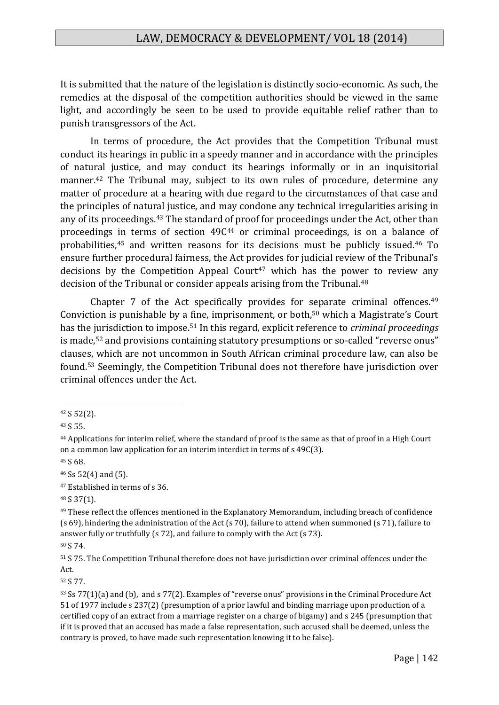It is submitted that the nature of the legislation is distinctly socio-economic. As such, the remedies at the disposal of the competition authorities should be viewed in the same light, and accordingly be seen to be used to provide equitable relief rather than to punish transgressors of the Act.

In terms of procedure, the Act provides that the Competition Tribunal must conduct its hearings in public in a speedy manner and in accordance with the principles of natural justice, and may conduct its hearings informally or in an inquisitorial manner.<sup>42</sup> The Tribunal may, subject to its own rules of procedure, determine any matter of procedure at a hearing with due regard to the circumstances of that case and the principles of natural justice, and may condone any technical irregularities arising in any of its proceedings.<sup>43</sup> The standard of proof for proceedings under the Act, other than proceedings in terms of section 49C<sup>44</sup> or criminal proceedings, is on a balance of probabilities,<sup>45</sup> and written reasons for its decisions must be publicly issued.<sup>46</sup> To ensure further procedural fairness, the Act provides for judicial review of the Tribunal's decisions by the Competition Appeal Court<sup>47</sup> which has the power to review any decision of the Tribunal or consider appeals arising from the Tribunal.<sup>48</sup>

Chapter 7 of the Act specifically provides for separate criminal offences.<sup>49</sup> Conviction is punishable by a fine, imprisonment, or both,<sup>50</sup> which a Magistrate's Court has the jurisdiction to impose.<sup>51</sup> In this regard, explicit reference to *criminal proceedings* is made,<sup>52</sup> and provisions containing statutory presumptions or so-called "reverse onus" clauses, which are not uncommon in South African criminal procedure law, can also be found.<sup>53</sup> Seemingly, the Competition Tribunal does not therefore have jurisdiction over criminal offences under the Act.

1

<sup>48</sup> S 37(1).

<sup>52</sup> S 77.

<sup>42</sup> S 52(2).

<sup>43</sup> S 55.

<sup>44</sup> Applications for interim relief, where the standard of proof is the same as that of proof in a High Court on a common law application for an interim interdict in terms of s 49C(3).

<sup>45</sup> S 68.

<sup>46</sup> Ss 52(4) and (5).

<sup>47</sup> Established in terms of s 36.

<sup>49</sup> These reflect the offences mentioned in the Explanatory Memorandum, including breach of confidence (s 69), hindering the administration of the Act (s 70), failure to attend when summoned (s 71), failure to answer fully or truthfully (s 72), and failure to comply with the Act (s 73).

<sup>50</sup> S 74.

<sup>51</sup> S 75. The Competition Tribunal therefore does not have jurisdiction over criminal offences under the Act.

<sup>53</sup> Ss 77(1)(a) and (b), and s 77(2). Examples of "reverse onus" provisions in the Criminal Procedure Act 51 of 1977 include s 237(2) (presumption of a prior lawful and binding marriage upon production of a certified copy of an extract from a marriage register on a charge of bigamy) and s 245 (presumption that if it is proved that an accused has made a false representation, such accused shall be deemed, unless the contrary is proved, to have made such representation knowing it to be false).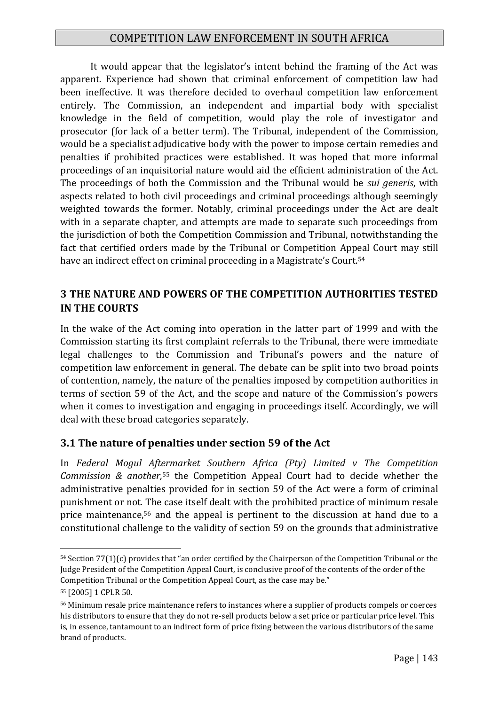It would appear that the legislator's intent behind the framing of the Act was apparent. Experience had shown that criminal enforcement of competition law had been ineffective. It was therefore decided to overhaul competition law enforcement entirely. The Commission, an independent and impartial body with specialist knowledge in the field of competition, would play the role of investigator and prosecutor (for lack of a better term). The Tribunal, independent of the Commission, would be a specialist adjudicative body with the power to impose certain remedies and penalties if prohibited practices were established. It was hoped that more informal proceedings of an inquisitorial nature would aid the efficient administration of the Act. The proceedings of both the Commission and the Tribunal would be *sui generis*, with aspects related to both civil proceedings and criminal proceedings although seemingly weighted towards the former. Notably, criminal proceedings under the Act are dealt with in a separate chapter, and attempts are made to separate such proceedings from the jurisdiction of both the Competition Commission and Tribunal, notwithstanding the fact that certified orders made by the Tribunal or Competition Appeal Court may still have an indirect effect on criminal proceeding in a Magistrate's Court.<sup>54</sup>

#### **3 THE NATURE AND POWERS OF THE COMPETITION AUTHORITIES TESTED IN THE COURTS**

In the wake of the Act coming into operation in the latter part of 1999 and with the Commission starting its first complaint referrals to the Tribunal, there were immediate legal challenges to the Commission and Tribunal's powers and the nature of competition law enforcement in general. The debate can be split into two broad points of contention, namely, the nature of the penalties imposed by competition authorities in terms of section 59 of the Act, and the scope and nature of the Commission's powers when it comes to investigation and engaging in proceedings itself. Accordingly, we will deal with these broad categories separately.

#### **3.1 The nature of penalties under section 59 of the Act**

In *Federal Mogul Aftermarket Southern Africa (Pty) Limited v The Competition Commission & another,*<sup>55</sup> the Competition Appeal Court had to decide whether the administrative penalties provided for in section 59 of the Act were a form of criminal punishment or not*.* The case itself dealt with the prohibited practice of minimum resale price maintenance,<sup>56</sup> and the appeal is pertinent to the discussion at hand due to a constitutional challenge to the validity of section 59 on the grounds that administrative

<sup>54</sup> Section 77(1)(c) provides that "an order certified by the Chairperson of the Competition Tribunal or the Judge President of the Competition Appeal Court, is conclusive proof of the contents of the order of the Competition Tribunal or the Competition Appeal Court, as the case may be."

<sup>55</sup> [2005] 1 CPLR 50.

<sup>56</sup> Minimum resale price maintenance refers to instances where a supplier of products compels or coerces his distributors to ensure that they do not re-sell products below a set price or particular price level. This is, in essence, tantamount to an indirect form of price fixing between the various distributors of the same brand of products.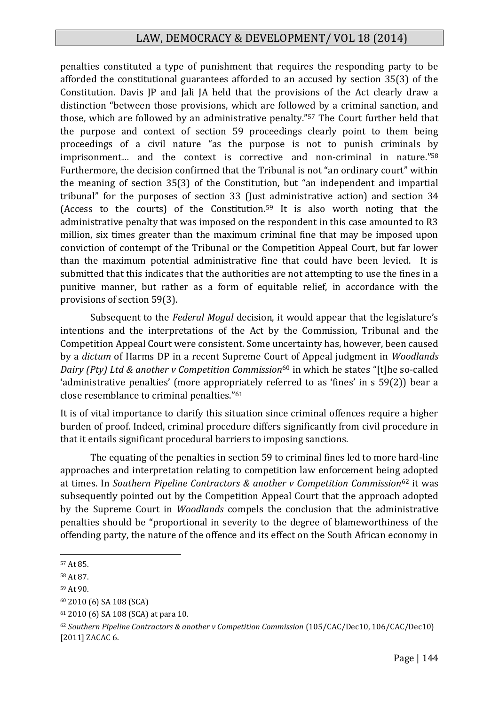penalties constituted a type of punishment that requires the responding party to be afforded the constitutional guarantees afforded to an accused by section 35(3) of the Constitution. Davis JP and Jali JA held that the provisions of the Act clearly draw a distinction "between those provisions, which are followed by a criminal sanction, and those, which are followed by an administrative penalty."<sup>57</sup> The Court further held that the purpose and context of section 59 proceedings clearly point to them being proceedings of a civil nature "as the purpose is not to punish criminals by imprisonment… and the context is corrective and non-criminal in nature."<sup>58</sup> Furthermore, the decision confirmed that the Tribunal is not "an ordinary court" within the meaning of section 35(3) of the Constitution, but "an independent and impartial tribunal" for the purposes of section 33 (Just administrative action) and section 34 (Access to the courts) of the Constitution.<sup>59</sup> It is also worth noting that the administrative penalty that was imposed on the respondent in this case amounted to R3 million, six times greater than the maximum criminal fine that may be imposed upon conviction of contempt of the Tribunal or the Competition Appeal Court, but far lower than the maximum potential administrative fine that could have been levied. It is submitted that this indicates that the authorities are not attempting to use the fines in a punitive manner, but rather as a form of equitable relief, in accordance with the provisions of section 59(3).

Subsequent to the *Federal Mogul* decision, it would appear that the legislature's intentions and the interpretations of the Act by the Commission, Tribunal and the Competition Appeal Court were consistent. Some uncertainty has, however, been caused by a *dictum* of Harms DP in a recent Supreme Court of Appeal judgment in *Woodlands Dairy (Pty) Ltd & another v Competition Commission*<sup>60</sup> in which he states "[t]he so-called 'administrative penalties' (more appropriately referred to as 'fines' in s 59(2)) bear a close resemblance to criminal penalties."<sup>61</sup>

It is of vital importance to clarify this situation since criminal offences require a higher burden of proof. Indeed, criminal procedure differs significantly from civil procedure in that it entails significant procedural barriers to imposing sanctions.

The equating of the penalties in section 59 to criminal fines led to more hard-line approaches and interpretation relating to competition law enforcement being adopted at times. In *Southern Pipeline Contractors & another v Competition Commission*<sup>62</sup> it was subsequently pointed out by the Competition Appeal Court that the approach adopted by the Supreme Court in *Woodlands* compels the conclusion that the administrative penalties should be "proportional in severity to the degree of blameworthiness of the offending party, the nature of the offence and its effect on the South African economy in

<sup>57</sup> At 85.

<sup>58</sup> At 87.

<sup>59</sup> At 90.

<sup>60</sup> 2010 (6) SA 108 (SCA)

<sup>61</sup> 2010 (6) SA 108 (SCA) at para 10.

<sup>62</sup> *Southern Pipeline Contractors & another v Competition Commission* (105/CAC/Dec10, 106/CAC/Dec10) [2011] ZACAC 6.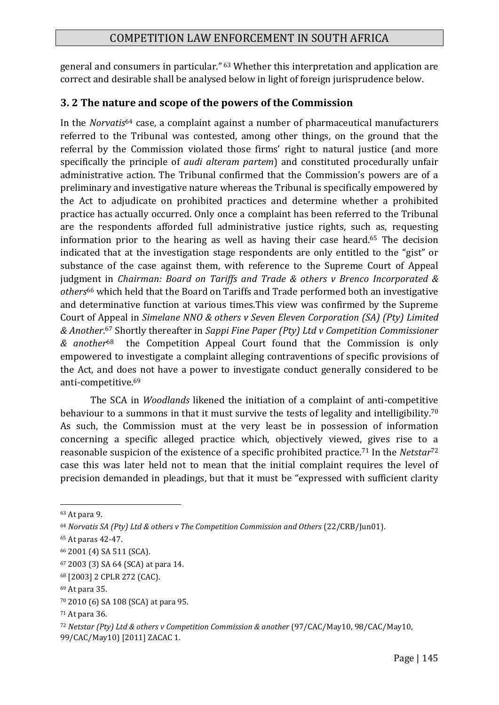general and consumers in particular." <sup>63</sup> Whether this interpretation and application are correct and desirable shall be analysed below in light of foreign jurisprudence below.

# **3. 2 The nature and scope of the powers of the Commission**

In the *Norvatis*<sup>64</sup> case, a complaint against a number of pharmaceutical manufacturers referred to the Tribunal was contested, among other things, on the ground that the referral by the Commission violated those firms' right to natural justice (and more specifically the principle of *audi alteram partem*) and constituted procedurally unfair administrative action. The Tribunal confirmed that the Commission's powers are of a preliminary and investigative nature whereas the Tribunal is specifically empowered by the Act to adjudicate on prohibited practices and determine whether a prohibited practice has actually occurred. Only once a complaint has been referred to the Tribunal are the respondents afforded full administrative justice rights, such as, requesting information prior to the hearing as well as having their case heard.<sup>65</sup> The decision indicated that at the investigation stage respondents are only entitled to the "gist" or substance of the case against them, with reference to the Supreme Court of Appeal judgment in *Chairman: Board on Tariffs and Trade & others v Brenco Incorporated & others*<sup>66</sup> which held that the Board on Tariffs and Trade performed both an investigative and determinative function at various times.This view was confirmed by the Supreme Court of Appeal in *Simelane NNO & others v Seven Eleven Corporation (SA) (Pty) Limited & Another*. <sup>67</sup> Shortly thereafter in *Sappi Fine Paper (Pty) Ltd v Competition Commissioner & another*68 the Competition Appeal Court found that the Commission is only empowered to investigate a complaint alleging contraventions of specific provisions of the Act, and does not have a power to investigate conduct generally considered to be anti-competitive.<sup>69</sup>

The SCA in *Woodlands* likened the initiation of a complaint of anti-competitive behaviour to a summons in that it must survive the tests of legality and intelligibility.<sup>70</sup> As such, the Commission must at the very least be in possession of information concerning a specific alleged practice which, objectively viewed, gives rise to a reasonable suspicion of the existence of a specific prohibited practice.<sup>71</sup> In the *Netstar*<sup>72</sup> case this was later held not to mean that the initial complaint requires the level of precision demanded in pleadings, but that it must be "expressed with sufficient clarity

<sup>63</sup> At para 9.

<sup>&</sup>lt;sup>64</sup> Norvatis SA (Pty) Ltd & others v The Competition Commission and Others (22/CRB/Jun01).

<sup>65</sup> At paras 42-47.

<sup>66</sup> 2001 (4) SA 511 (SCA).

<sup>67</sup> 2003 (3) SA 64 (SCA) at para 14.

<sup>68</sup> [2003] 2 CPLR 272 (CAC).

<sup>69</sup> At para 35.

<sup>70</sup> 2010 (6) SA 108 (SCA) at para 95.

<sup>71</sup> At para 36.

<sup>72</sup> *Netstar (Pty) Ltd & others v Competition Commission & another* (97/CAC/May10, 98/CAC/May10, 99/CAC/May10) [2011] ZACAC 1.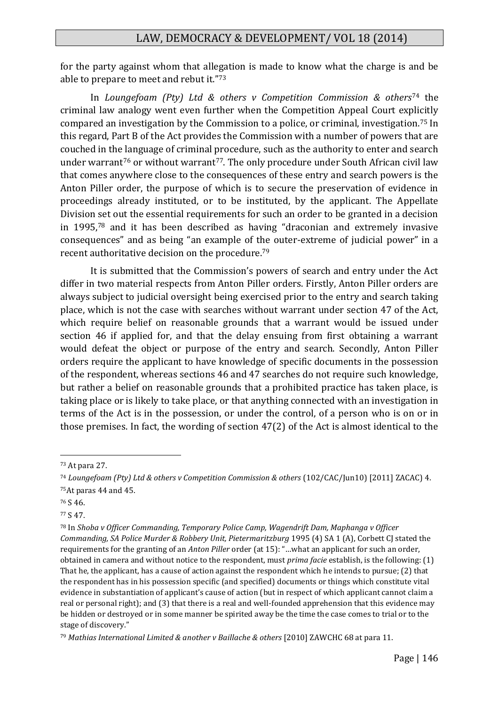for the party against whom that allegation is made to know what the charge is and be able to prepare to meet and rebut it."<sup>73</sup>

In *Loungefoam (Pty) Ltd & others v Competition Commission & others*<sup>74</sup> the criminal law analogy went even further when the Competition Appeal Court explicitly compared an investigation by the Commission to a police, or criminal, investigation.<sup>75</sup> In this regard, Part B of the Act provides the Commission with a number of powers that are couched in the language of criminal procedure, such as the authority to enter and search under warrant<sup>76</sup> or without warrant<sup>77</sup>. The only procedure under South African civil law that comes anywhere close to the consequences of these entry and search powers is the Anton Piller order, the purpose of which is to secure the preservation of evidence in proceedings already instituted, or to be instituted, by the applicant. The Appellate Division set out the essential requirements for such an order to be granted in a decision in 1995,<sup>78</sup> and it has been described as having "draconian and extremely invasive consequences" and as being "an example of the outer-extreme of judicial power" in a recent authoritative decision on the procedure.<sup>79</sup>

It is submitted that the Commission's powers of search and entry under the Act differ in two material respects from Anton Piller orders. Firstly, Anton Piller orders are always subject to judicial oversight being exercised prior to the entry and search taking place, which is not the case with searches without warrant under section 47 of the Act, which require belief on reasonable grounds that a warrant would be issued under section 46 if applied for, and that the delay ensuing from first obtaining a warrant would defeat the object or purpose of the entry and search. Secondly, Anton Piller orders require the applicant to have knowledge of specific documents in the possession of the respondent, whereas sections 46 and 47 searches do not require such knowledge, but rather a belief on reasonable grounds that a prohibited practice has taken place, is taking place or is likely to take place, or that anything connected with an investigation in terms of the Act is in the possession, or under the control, of a person who is on or in those premises. In fact, the wording of section 47(2) of the Act is almost identical to the

<sup>73</sup> At para 27.

<sup>74</sup> *Loungefoam (Pty) Ltd & others v Competition Commission & others* (102/CAC/Jun10) [2011] ZACAC) 4. <sup>75</sup>At paras 44 and 45.

<sup>76</sup> S 46.

<sup>77</sup> S 47.

<sup>78</sup> In *Shoba v Officer Commanding, Temporary Police Camp, Wagendrift Dam, Maphanga v Officer Commanding, SA Police Murder & Robbery Unit, Pietermaritzburg* 1995 (4) SA 1 (A), Corbett CJ stated the requirements for the granting of an *Anton Piller* order (at 15): "…what an applicant for such an order, obtained in camera and without notice to the respondent, must *prima facie* establish, is the following: (1) That he, the applicant, has a cause of action against the respondent which he intends to pursue; (2) that the respondent has in his possession specific (and specified) documents or things which constitute vital evidence in substantiation of applicant's cause of action (but in respect of which applicant cannot claim a real or personal right); and (3) that there is a real and well-founded apprehension that this evidence may be hidden or destroyed or in some manner be spirited away be the time the case comes to trial or to the stage of discovery."

<sup>79</sup> *Mathias International Limited & another v Baillache & others* [2010] ZAWCHC 68 at para 11.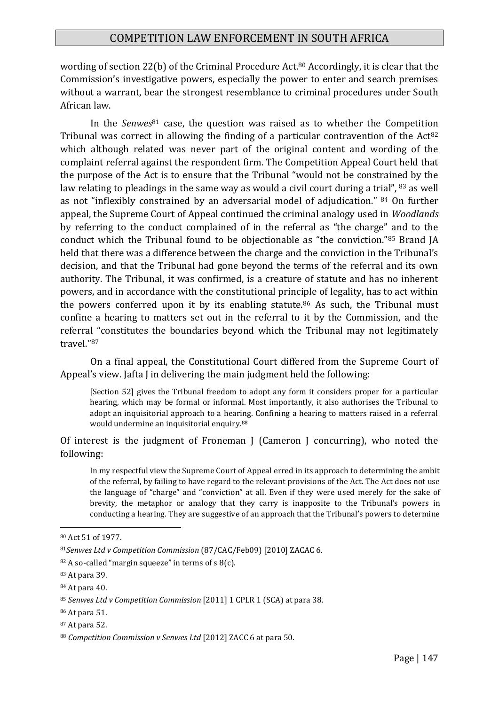wording of section 22(b) of the Criminal Procedure Act.<sup>80</sup> Accordingly, it is clear that the Commission's investigative powers, especially the power to enter and search premises without a warrant, bear the strongest resemblance to criminal procedures under South African law.

In the *Senwes*<sup>81</sup> case, the question was raised as to whether the Competition Tribunal was correct in allowing the finding of a particular contravention of the  $Act^{82}$ which although related was never part of the original content and wording of the complaint referral against the respondent firm. The Competition Appeal Court held that the purpose of the Act is to ensure that the Tribunal "would not be constrained by the law relating to pleadings in the same way as would a civil court during a trial", <sup>83</sup> as well as not "inflexibly constrained by an adversarial model of adjudication." <sup>84</sup> On further appeal, the Supreme Court of Appeal continued the criminal analogy used in *Woodlands* by referring to the conduct complained of in the referral as "the charge" and to the conduct which the Tribunal found to be objectionable as "the conviction."<sup>85</sup> Brand JA held that there was a difference between the charge and the conviction in the Tribunal's decision, and that the Tribunal had gone beyond the terms of the referral and its own authority. The Tribunal, it was confirmed, is a creature of statute and has no inherent powers, and in accordance with the constitutional principle of legality, has to act within the powers conferred upon it by its enabling statute.<sup>86</sup> As such, the Tribunal must confine a hearing to matters set out in the referral to it by the Commission, and the referral "constitutes the boundaries beyond which the Tribunal may not legitimately travel."<sup>87</sup>

On a final appeal, the Constitutional Court differed from the Supreme Court of Appeal's view. Jafta J in delivering the main judgment held the following:

[Section 52] gives the Tribunal freedom to adopt any form it considers proper for a particular hearing, which may be formal or informal. Most importantly, it also authorises the Tribunal to adopt an inquisitorial approach to a hearing. Confining a hearing to matters raised in a referral would undermine an inquisitorial enquiry.<sup>88</sup>

Of interest is the judgment of Froneman J (Cameron J concurring), who noted the following:

In my respectful view the Supreme Court of Appeal erred in its approach to determining the ambit of the referral, by failing to have regard to the relevant provisions of the Act. The Act does not use the language of "charge" and "conviction" at all. Even if they were used merely for the sake of brevity, the metaphor or analogy that they carry is inapposite to the Tribunal's powers in conducting a hearing. They are suggestive of an approach that the Tribunal's powers to determine

<sup>80</sup> Act 51 of 1977.

<sup>81</sup>*Senwes Ltd v Competition Commission* (87/CAC/Feb09) [2010] ZACAC 6.

 $82$  A so-called "margin squeeze" in terms of s 8(c).

<sup>83</sup> At para 39.

<sup>84</sup> At para 40.

<sup>85</sup> *Senwes Ltd v Competition Commission* [2011] 1 CPLR 1 (SCA) at para 38.

<sup>86</sup> At para 51.

<sup>87</sup> At para 52.

<sup>88</sup> *Competition Commission v Senwes Ltd* [2012] ZACC 6 at para 50.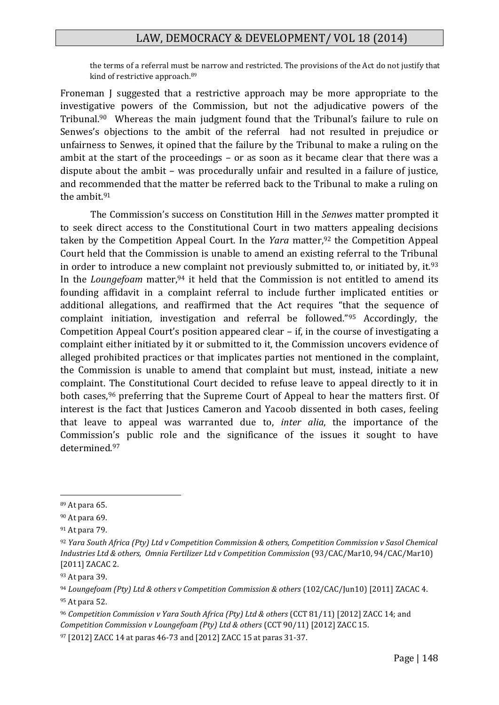the terms of a referral must be narrow and restricted. The provisions of the Act do not justify that kind of restrictive approach.<sup>89</sup>

Froneman J suggested that a restrictive approach may be more appropriate to the investigative powers of the Commission, but not the adjudicative powers of the Tribunal.<sup>90</sup> Whereas the main judgment found that the Tribunal's failure to rule on Senwes's objections to the ambit of the referral had not resulted in prejudice or unfairness to Senwes, it opined that the failure by the Tribunal to make a ruling on the ambit at the start of the proceedings – or as soon as it became clear that there was a dispute about the ambit – was procedurally unfair and resulted in a failure of justice, and recommended that the matter be referred back to the Tribunal to make a ruling on the ambit.<sup>91</sup>

The Commission's success on Constitution Hill in the *Senwes* matter prompted it to seek direct access to the Constitutional Court in two matters appealing decisions taken by the Competition Appeal Court. In the *Yara* matter,<sup>92</sup> the Competition Appeal Court held that the Commission is unable to amend an existing referral to the Tribunal in order to introduce a new complaint not previously submitted to, or initiated by, it.  $93$ In the *Loungefoam* matter,<sup>94</sup> it held that the Commission is not entitled to amend its founding affidavit in a complaint referral to include further implicated entities or additional allegations, and reaffirmed that the Act requires "that the sequence of complaint initiation, investigation and referral be followed."<sup>95</sup> Accordingly, the Competition Appeal Court's position appeared clear – if, in the course of investigating a complaint either initiated by it or submitted to it, the Commission uncovers evidence of alleged prohibited practices or that implicates parties not mentioned in the complaint, the Commission is unable to amend that complaint but must, instead, initiate a new complaint. The Constitutional Court decided to refuse leave to appeal directly to it in both cases,<sup>96</sup> preferring that the Supreme Court of Appeal to hear the matters first. Of interest is the fact that Justices Cameron and Yacoob dissented in both cases, feeling that leave to appeal was warranted due to, *inter alia*, the importance of the Commission's public role and the significance of the issues it sought to have determined.<sup>97</sup>

<sup>89</sup> At para 65.

<sup>90</sup> At para 69.

<sup>91</sup> At para 79.

<sup>92</sup> *Yara South Africa (Pty) Ltd v Competition Commission & others, Competition Commission v Sasol Chemical Industries Ltd & others, Omnia Fertilizer Ltd v Competition Commission* (93/CAC/Mar10, 94/CAC/Mar10) [2011] ZACAC 2.

<sup>93</sup> At para 39.

<sup>94</sup> *Loungefoam (Pty) Ltd & others v Competition Commission & others* (102/CAC/Jun10) [2011] ZACAC 4. <sup>95</sup> At para 52.

<sup>&</sup>lt;sup>96</sup> Competition Commission v Yara South Africa (Pty) Ltd & others (CCT 81/11) [2012] ZACC 14; and *Competition Commission v Loungefoam (Pty) Ltd & others* (CCT 90/11) [2012] ZACC 15.

<sup>97</sup> [2012] ZACC 14 at paras 46-73 and [2012] ZACC 15 at paras 31-37.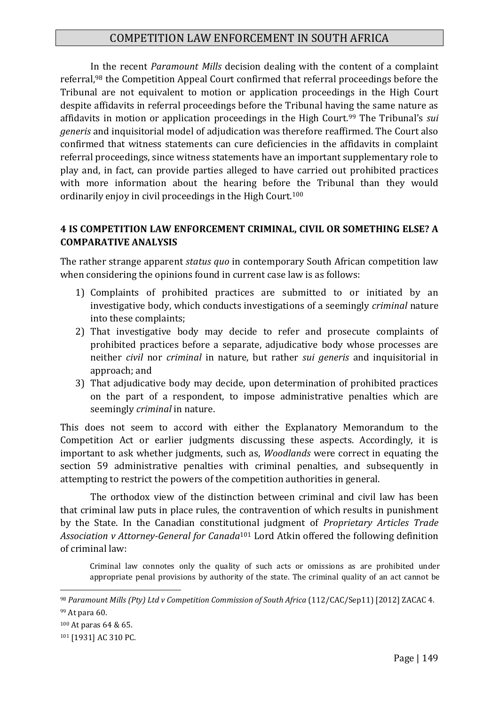In the recent *Paramount Mills* decision dealing with the content of a complaint referral,<sup>98</sup> the Competition Appeal Court confirmed that referral proceedings before the Tribunal are not equivalent to motion or application proceedings in the High Court despite affidavits in referral proceedings before the Tribunal having the same nature as affidavits in motion or application proceedings in the High Court.<sup>99</sup> The Tribunal's *sui generis* and inquisitorial model of adjudication was therefore reaffirmed. The Court also confirmed that witness statements can cure deficiencies in the affidavits in complaint referral proceedings, since witness statements have an important supplementary role to play and, in fact, can provide parties alleged to have carried out prohibited practices with more information about the hearing before the Tribunal than they would ordinarily enjoy in civil proceedings in the High Court.<sup>100</sup>

#### **4 IS COMPETITION LAW ENFORCEMENT CRIMINAL, CIVIL OR SOMETHING ELSE? A COMPARATIVE ANALYSIS**

The rather strange apparent *status quo* in contemporary South African competition law when considering the opinions found in current case law is as follows:

- 1) Complaints of prohibited practices are submitted to or initiated by an investigative body, which conducts investigations of a seemingly *criminal* nature into these complaints;
- 2) That investigative body may decide to refer and prosecute complaints of prohibited practices before a separate, adjudicative body whose processes are neither *civil* nor *criminal* in nature, but rather *sui generis* and inquisitorial in approach; and
- 3) That adjudicative body may decide, upon determination of prohibited practices on the part of a respondent, to impose administrative penalties which are seemingly *criminal* in nature.

This does not seem to accord with either the Explanatory Memorandum to the Competition Act or earlier judgments discussing these aspects. Accordingly, it is important to ask whether judgments, such as, *Woodlands* were correct in equating the section 59 administrative penalties with criminal penalties, and subsequently in attempting to restrict the powers of the competition authorities in general.

The orthodox view of the distinction between criminal and civil law has been that criminal law puts in place rules, the contravention of which results in punishment by the State. In the Canadian constitutional judgment of *Proprietary Articles Trade Association v Attorney-General for Canada*<sup>101</sup> Lord Atkin offered the following definition of criminal law:

Criminal law connotes only the quality of such acts or omissions as are prohibited under appropriate penal provisions by authority of the state. The criminal quality of an act cannot be

<sup>98</sup> *Paramount Mills (Pty) Ltd v Competition Commission of South Africa* (112/CAC/Sep11) [2012] ZACAC 4.

<sup>99</sup> At para 60.

<sup>100</sup> At paras 64 & 65.

<sup>101</sup> [1931] AC 310 PC.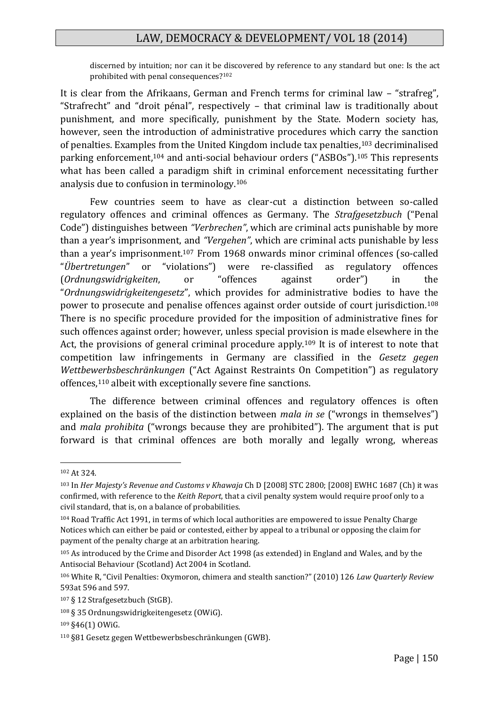discerned by intuition; nor can it be discovered by reference to any standard but one: Is the act prohibited with penal consequences?<sup>102</sup>

It is clear from the Afrikaans, German and French terms for criminal law – "strafreg", "Strafrecht" and "droit pénal", respectively – that criminal law is traditionally about punishment, and more specifically, punishment by the State. Modern society has, however, seen the introduction of administrative procedures which carry the sanction of penalties. Examples from the United Kingdom include tax penalties,<sup>103</sup> decriminalised parking enforcement,<sup>104</sup> and anti-social behaviour orders ("ASBOs").<sup>105</sup> This represents what has been called a paradigm shift in criminal enforcement necessitating further analysis due to confusion in terminology.<sup>106</sup>

Few countries seem to have as clear-cut a distinction between so-called regulatory offences and criminal offences as Germany. The *Strafgesetzbuch* ("Penal Code") distinguishes between *"Verbrechen"*, which are criminal acts punishable by more than a year's imprisonment, and *"Vergehen"*, which are criminal acts punishable by less than a year's imprisonment.<sup>107</sup> From 1968 onwards minor criminal offences (so-called "*Übertretungen*" or "violations") were re-classified as regulatory offences (*Ordnungswidrigkeiten*, or "offences against order") in the "*Ordnungswidrigkeitengesetz*", which provides for administrative bodies to have the power to prosecute and penalise offences against order outside of court jurisdiction.<sup>108</sup> There is no specific procedure provided for the imposition of administrative fines for such offences against order; however, unless special provision is made elsewhere in the Act, the provisions of general criminal procedure apply.<sup>109</sup> It is of interest to note that competition law infringements in Germany are classified in the *Gesetz gegen Wettbewerbsbeschränkungen* ("Act Against Restraints On Competition") as regulatory offences,<sup>110</sup> albeit with exceptionally severe fine sanctions.

The difference between criminal offences and regulatory offences is often explained on the basis of the distinction between *mala in se* ("wrongs in themselves") and *mala prohibita* ("wrongs because they are prohibited"). The argument that is put forward is that criminal offences are both morally and legally wrong, whereas

<sup>102</sup> At 324.

<sup>103</sup> In *Her Majesty's Revenue and Customs v Khawaja* Ch D [2008] STC 2800; [2008] EWHC 1687 (Ch) it was confirmed, with reference to the *Keith Report*, that a civil penalty system would require proof only to a civil standard, that is, on a balance of probabilities.

<sup>104</sup> Road Traffic Act 1991, in terms of which local authorities are empowered to issue Penalty Charge Notices which can either be paid or contested, either by appeal to a tribunal or opposing the claim for payment of the penalty charge at an arbitration hearing.

<sup>105</sup> As introduced by the Crime and Disorder Act 1998 (as extended) in England and Wales, and by the Antisocial Behaviour (Scotland) Act 2004 in Scotland.

<sup>106</sup> White R, "Civil Penalties: Oxymoron, chimera and stealth sanction?" (2010) 126 *Law Quarterly Review* 593at 596 and 597.

<sup>107</sup> § 12 Strafgesetzbuch (StGB).

<sup>108</sup> § 35 Ordnungswidrigkeitengesetz (OWiG).

<sup>109</sup> §46(1) OWiG.

<sup>110</sup> §81 Gesetz gegen Wettbewerbsbeschränkungen (GWB).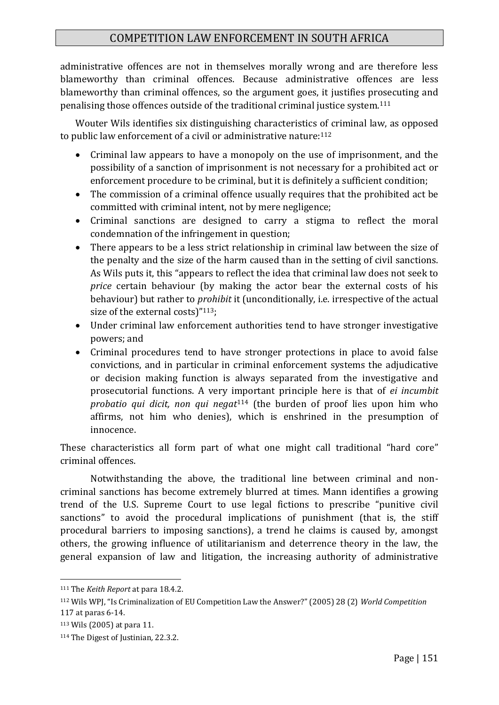administrative offences are not in themselves morally wrong and are therefore less blameworthy than criminal offences. Because administrative offences are less blameworthy than criminal offences, so the argument goes, it justifies prosecuting and penalising those offences outside of the traditional criminal justice system.<sup>111</sup>

Wouter Wils identifies six distinguishing characteristics of criminal law, as opposed to public law enforcement of a civil or administrative nature:<sup>112</sup>

- Criminal law appears to have a monopoly on the use of imprisonment, and the possibility of a sanction of imprisonment is not necessary for a prohibited act or enforcement procedure to be criminal, but it is definitely a sufficient condition;
- The commission of a criminal offence usually requires that the prohibited act be committed with criminal intent, not by mere negligence;
- Criminal sanctions are designed to carry a stigma to reflect the moral condemnation of the infringement in question;
- There appears to be a less strict relationship in criminal law between the size of the penalty and the size of the harm caused than in the setting of civil sanctions. As Wils puts it, this "appears to reflect the idea that criminal law does not seek to *price* certain behaviour (by making the actor bear the external costs of his behaviour) but rather to *prohibit* it (unconditionally, i.e. irrespective of the actual size of the external costs)"<sup>113</sup>;
- Under criminal law enforcement authorities tend to have stronger investigative powers; and
- Criminal procedures tend to have stronger protections in place to avoid false convictions, and in particular in criminal enforcement systems the adjudicative or decision making function is always separated from the investigative and prosecutorial functions. A very important principle here is that of *ei incumbit probatio qui dicit, non qui negat*<sup>114</sup> (the burden of proof lies upon him who affirms, not him who denies), which is enshrined in the presumption of innocence.

These characteristics all form part of what one might call traditional "hard core" criminal offences.

Notwithstanding the above, the traditional line between criminal and noncriminal sanctions has become extremely blurred at times. Mann identifies a growing trend of the U.S. Supreme Court to use legal fictions to prescribe "punitive civil sanctions" to avoid the procedural implications of punishment (that is, the stiff procedural barriers to imposing sanctions), a trend he claims is caused by, amongst others, the growing influence of utilitarianism and deterrence theory in the law, the general expansion of law and litigation, the increasing authority of administrative

<sup>111</sup> The *Keith Report* at para 18.4.2.

<sup>112</sup> Wils WPJ, "Is Criminalization of EU Competition Law the Answer?" (2005) 28 (2) *World Competition* 117 at paras 6-14.

<sup>113</sup> Wils (2005) at para 11.

<sup>114</sup> The Digest of Justinian*,* 22.3.2.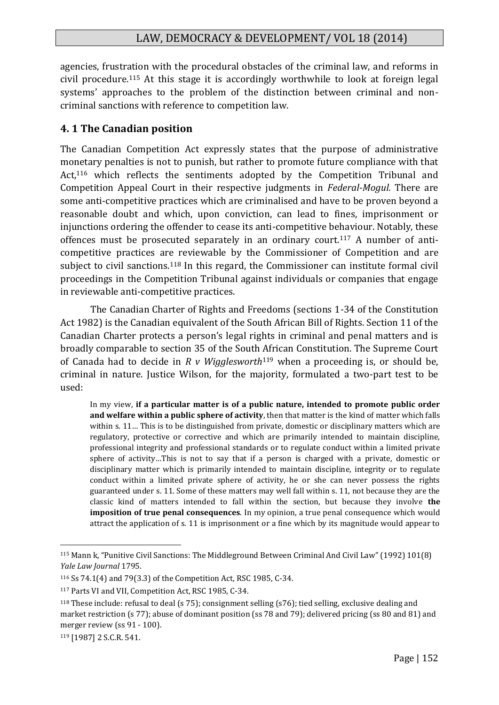agencies, frustration with the procedural obstacles of the criminal law, and reforms in civil procedure.<sup>115</sup> At this stage it is accordingly worthwhile to look at foreign legal systems' approaches to the problem of the distinction between criminal and noncriminal sanctions with reference to competition law.

#### **4. 1 The Canadian position**

The Canadian Competition Act expressly states that the purpose of administrative monetary penalties is not to punish, but rather to promote future compliance with that Act,<sup>116</sup> which reflects the sentiments adopted by the Competition Tribunal and Competition Appeal Court in their respective judgments in *Federal-Mogul.* There are some anti-competitive practices which are criminalised and have to be proven beyond a reasonable doubt and which, upon conviction, can lead to fines, imprisonment or injunctions ordering the offender to cease its anti-competitive behaviour. Notably, these offences must be prosecuted separately in an ordinary court.<sup>117</sup> A number of anticompetitive practices are reviewable by the Commissioner of Competition and are subject to civil sanctions.<sup>118</sup> In this regard, the Commissioner can institute formal civil proceedings in the Competition Tribunal against individuals or companies that engage in reviewable anti-competitive practices.

The Canadian Charter of Rights and Freedoms (sections 1-34 of the Constitution Act 1982) is the Canadian equivalent of the South African Bill of Rights. Section 11 of the Canadian Charter protects a person's legal rights in criminal and penal matters and is broadly comparable to section 35 of the South African Constitution. The Supreme Court of Canada had to decide in *R v Wigglesworth*<sup>119</sup> when a proceeding is, or should be, criminal in nature. Justice Wilson, for the majority, formulated a two-part test to be used:

In my view, **if a particular matter is of a public nature, intended to promote public order and welfare within a public sphere of activity**, then that matter is the kind of matter which falls within s. 11… This is to be distinguished from private, domestic or disciplinary matters which are regulatory, protective or corrective and which are primarily intended to maintain discipline, professional integrity and professional standards or to regulate conduct within a limited private sphere of activity…This is not to say that if a person is charged with a private, domestic or disciplinary matter which is primarily intended to maintain discipline, integrity or to regulate conduct within a limited private sphere of activity, he or she can never possess the rights guaranteed under s. 11. Some of these matters may well fall within s. 11, not because they are the classic kind of matters intended to fall within the section, but because they involve **the imposition of true penal consequences**. In my opinion, a true penal consequence which would attract the application of s. 11 is imprisonment or a fine which by its magnitude would appear to

<sup>115</sup> Mann k, "Punitive Civil Sanctions: The Middleground Between Criminal And Civil Law" (1992) 101(8) *Yale Law Journal* 1795.

<sup>116</sup> Ss 74.1(4) and 79(3.3) of the Competition Act, RSC 1985, C-34.

<sup>117</sup> Parts VI and VII, Competition Act, RSC 1985, C-34.

<sup>118</sup> These include: refusal to deal (s 75); consignment selling (s76); tied selling, exclusive dealing and market restriction (s 77); abuse of dominant position (ss 78 and 79); delivered pricing (ss 80 and 81) and merger review (ss 91 - 100).

<sup>119</sup> [1987] 2 S.C.R. 541.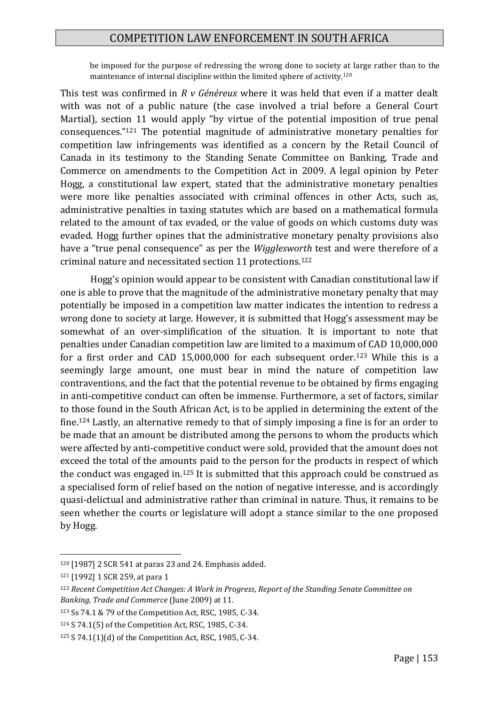be imposed for the purpose of redressing the wrong done to society at large rather than to the maintenance of internal discipline within the limited sphere of activity.<sup>120</sup>

This test was confirmed in *R v Généreux* where it was held that even if a matter dealt with was not of a public nature (the case involved a trial before a General Court Martial), section 11 would apply "by virtue of the potential imposition of true penal consequences."<sup>121</sup> The potential magnitude of administrative monetary penalties for competition law infringements was identified as a concern by the Retail Council of Canada in its testimony to the Standing Senate Committee on Banking, Trade and Commerce on amendments to the Competition Act in 2009. A legal opinion by Peter Hogg, a constitutional law expert, stated that the administrative monetary penalties were more like penalties associated with criminal offences in other Acts, such as, administrative penalties in taxing statutes which are based on a mathematical formula related to the amount of tax evaded, or the value of goods on which customs duty was evaded. Hogg further opines that the administrative monetary penalty provisions also have a "true penal consequence" as per the *Wigglesworth* test and were therefore of a criminal nature and necessitated section 11 protections.<sup>122</sup>

Hogg's opinion would appear to be consistent with Canadian constitutional law if one is able to prove that the magnitude of the administrative monetary penalty that may potentially be imposed in a competition law matter indicates the intention to redress a wrong done to society at large. However, it is submitted that Hogg's assessment may be somewhat of an over-simplification of the situation. It is important to note that penalties under Canadian competition law are limited to a maximum of CAD 10,000,000 for a first order and CAD 15,000,000 for each subsequent order.<sup>123</sup> While this is a seemingly large amount, one must bear in mind the nature of competition law contraventions, and the fact that the potential revenue to be obtained by firms engaging in anti-competitive conduct can often be immense. Furthermore, a set of factors, similar to those found in the South African Act, is to be applied in determining the extent of the fine.<sup>124</sup> Lastly, an alternative remedy to that of simply imposing a fine is for an order to be made that an amount be distributed among the persons to whom the products which were affected by anti-competitive conduct were sold, provided that the amount does not exceed the total of the amounts paid to the person for the products in respect of which the conduct was engaged in.<sup>125</sup> It is submitted that this approach could be construed as a specialised form of relief based on the notion of negative interesse, and is accordingly quasi-delictual and administrative rather than criminal in nature. Thus, it remains to be seen whether the courts or legislature will adopt a stance similar to the one proposed by Hogg.

<sup>120</sup> [1987] 2 SCR 541 at paras 23 and 24. Emphasis added.

<sup>121</sup> [1992] 1 SCR 259, at para 1

<sup>122</sup> *Recent Competition Act Changes: A Work in Progress*, *Report of the Standing Senate Committee on Banking, Trade and Commerce* (June 2009) at 11.

<sup>123</sup> Ss 74.1 & 79 of the Competition Act, RSC, 1985, C-34.

<sup>124</sup> S 74.1(5) of the Competition Act, RSC, 1985, C-34.

<sup>125</sup> S 74.1(1)(d) of the Competition Act, RSC, 1985, C-34.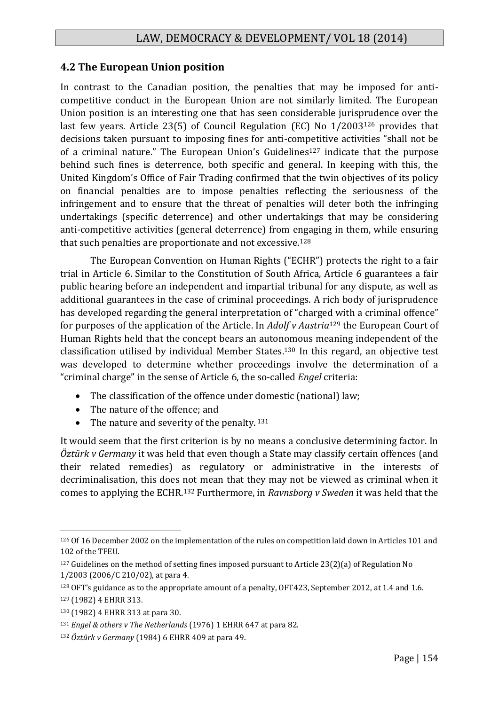#### **4.2 The European Union position**

In contrast to the Canadian position, the penalties that may be imposed for anticompetitive conduct in the European Union are not similarly limited. The European Union position is an interesting one that has seen considerable jurisprudence over the last few years. Article 23(5) of Council Regulation (EC) No 1/2003<sup>126</sup> provides that decisions taken pursuant to imposing fines for anti-competitive activities "shall not be of a criminal nature." The European Union's Guidelines<sup>127</sup> indicate that the purpose behind such fines is deterrence, both specific and general. In keeping with this, the United Kingdom's Office of Fair Trading confirmed that the twin objectives of its policy on financial penalties are to impose penalties reflecting the seriousness of the infringement and to ensure that the threat of penalties will deter both the infringing undertakings (specific deterrence) and other undertakings that may be considering anti-competitive activities (general deterrence) from engaging in them, while ensuring that such penalties are proportionate and not excessive.<sup>128</sup>

The European Convention on Human Rights ("ECHR") protects the right to a fair trial in Article 6. Similar to the Constitution of South Africa, Article 6 guarantees a fair public hearing before an independent and impartial tribunal for any dispute, as well as additional guarantees in the case of criminal proceedings. A rich body of jurisprudence has developed regarding the general interpretation of "charged with a criminal offence" for purposes of the application of the Article. In *Adolf v Austria*<sup>129</sup> the European Court of Human Rights held that the concept bears an autonomous meaning independent of the classification utilised by individual Member States.<sup>130</sup> In this regard, an objective test was developed to determine whether proceedings involve the determination of a "criminal charge" in the sense of Article 6, the so-called *Engel* criteria:

- The classification of the offence under domestic (national) law;
- The nature of the offence: and
- The nature and severity of the penalty.  $131$

It would seem that the first criterion is by no means a conclusive determining factor. In *Öztürk v Germany* it was held that even though a State may classify certain offences (and their related remedies) as regulatory or administrative in the interests of decriminalisation, this does not mean that they may not be viewed as criminal when it comes to applying the ECHR.<sup>132</sup> Furthermore, in *Ravnsborg v Sweden* it was held that the

<sup>1</sup> <sup>126</sup> Of 16 December 2002 on the implementation of the rules on competition laid down in Articles 101 and 102 of the TFEU.

<sup>&</sup>lt;sup>127</sup> Guidelines on the method of setting fines imposed pursuant to Article 23(2)(a) of Regulation No 1/2003 (2006/C 210/02), at para 4.

<sup>128</sup> OFT's guidance as to the appropriate amount of a penalty, OFT423, September 2012, at 1.4 and 1.6.

<sup>129</sup> (1982) 4 EHRR 313.

<sup>130</sup> (1982) 4 EHRR 313 at para 30.

<sup>131</sup> *Engel & others v The Netherlands* (1976) 1 EHRR 647 at para 82.

<sup>132</sup> *Öztürk v Germany* (1984) 6 EHRR 409 at para 49.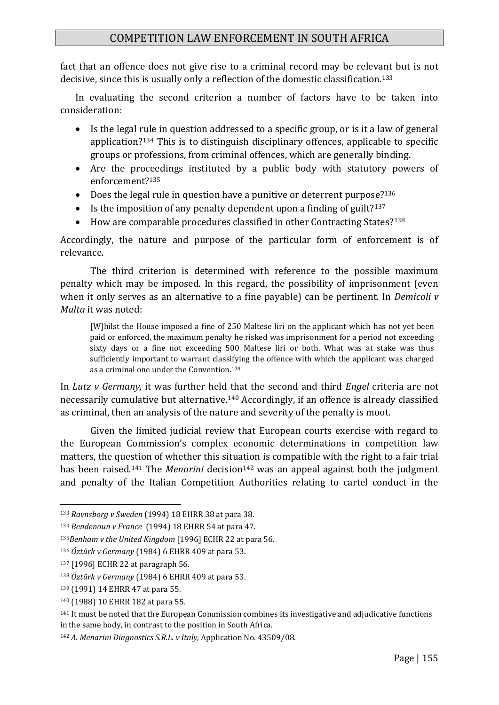fact that an offence does not give rise to a criminal record may be relevant but is not decisive, since this is usually only a reflection of the domestic classification.<sup>133</sup>

In evaluating the second criterion a number of factors have to be taken into consideration:

- Is the legal rule in question addressed to a specific group, or is it a law of general application?<sup>134</sup> This is to distinguish disciplinary offences, applicable to specific groups or professions, from criminal offences, which are generally binding.
- Are the proceedings instituted by a public body with statutory powers of enforcement?<sup>135</sup>
- Does the legal rule in question have a punitive or deterrent purpose?<sup>136</sup>
- Is the imposition of any penalty dependent upon a finding of guilt?<sup>137</sup>
- How are comparable procedures classified in other Contracting States?<sup>138</sup>

Accordingly, the nature and purpose of the particular form of enforcement is of relevance.

The third criterion is determined with reference to the possible maximum penalty which may be imposed. In this regard, the possibility of imprisonment (even when it only serves as an alternative to a fine payable) can be pertinent. In *Demicoli v Malta* it was noted:

[W]hilst the House imposed a fine of 250 Maltese liri on the applicant which has not yet been paid or enforced, the maximum penalty he risked was imprisonment for a period not exceeding sixty days or a fine not exceeding 500 Maltese liri or both. What was at stake was thus sufficiently important to warrant classifying the offence with which the applicant was charged as a criminal one under the Convention.<sup>139</sup>

In *Lutz v Germany,* it was further held that the second and third *Engel* criteria are not necessarily cumulative but alternative.<sup>140</sup> Accordingly, if an offence is already classified as criminal, then an analysis of the nature and severity of the penalty is moot.

Given the limited judicial review that European courts exercise with regard to the European Commission's complex economic determinations in competition law matters, the question of whether this situation is compatible with the right to a fair trial has been raised.<sup>141</sup> The *Menarini* decision<sup>142</sup> was an appeal against both the judgment and penalty of the Italian Competition Authorities relating to cartel conduct in the

<sup>133</sup> *Ravnsborg v Sweden* (1994) 18 EHRR 38 at para 38.

<sup>134</sup> *Bendenoun v France* (1994) 18 EHRR 54 at para 47.

<sup>135</sup>*Benham v the United Kingdom* [1996] ECHR 22 at para 56.

<sup>136</sup> *Öztürk v Germany* (1984) 6 EHRR 409 at para 53.

<sup>137</sup> [1996] ECHR 22 at paragraph 56.

<sup>138</sup> *Öztürk v Germany* (1984) 6 EHRR 409 at para 53.

<sup>139</sup> (1991) 14 EHRR 47 at para 55.

<sup>140</sup> (1988) 10 EHRR 182 at para 55.

<sup>&</sup>lt;sup>141</sup> It must be noted that the European Commission combines its investigative and adjudicative functions in the same body, in contrast to the position in South Africa.

<sup>142</sup> *A. Menarini Diagnostics S.R.L. v Italy*, Application No. 43509/08.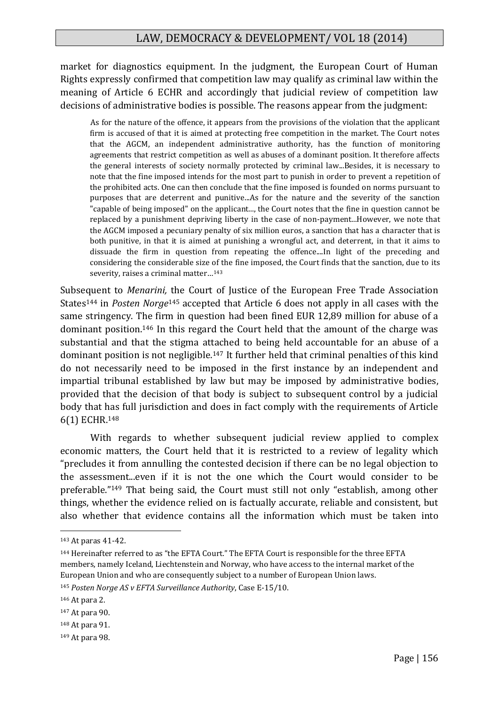market for diagnostics equipment. In the judgment, the European Court of Human Rights expressly confirmed that competition law may qualify as criminal law within the meaning of Article 6 ECHR and accordingly that judicial review of competition law decisions of administrative bodies is possible. The reasons appear from the judgment:

As for the nature of the offence, it appears from the provisions of the violation that the applicant firm is accused of that it is aimed at protecting free competition in the market. The Court notes that the AGCM, an independent administrative authority, has the function of monitoring agreements that restrict competition as well as abuses of a dominant position. It therefore affects the general interests of society normally protected by criminal law...Besides, it is necessary to note that the fine imposed intends for the most part to punish in order to prevent a repetition of the prohibited acts. One can then conclude that the fine imposed is founded on norms pursuant to purposes that are deterrent and punitive...As for the nature and the severity of the sanction "capable of being imposed" on the applicant..., the Court notes that the fine in question cannot be replaced by a punishment depriving liberty in the case of non-payment...However, we note that the AGCM imposed a pecuniary penalty of six million euros, a sanction that has a character that is both punitive, in that it is aimed at punishing a wrongful act, and deterrent, in that it aims to dissuade the firm in question from repeating the offence....In light of the preceding and considering the considerable size of the fine imposed, the Court finds that the sanction, due to its severity, raises a criminal matter…<sup>143</sup>

Subsequent to *Menarini,* the Court of Justice of the European Free Trade Association States<sup>144</sup> in *Posten Norge*<sup>145</sup> accepted that Article 6 does not apply in all cases with the same stringency. The firm in question had been fined EUR 12,89 million for abuse of a dominant position.<sup>146</sup> In this regard the Court held that the amount of the charge was substantial and that the stigma attached to being held accountable for an abuse of a dominant position is not negligible.<sup>147</sup> It further held that criminal penalties of this kind do not necessarily need to be imposed in the first instance by an independent and impartial tribunal established by law but may be imposed by administrative bodies, provided that the decision of that body is subject to subsequent control by a judicial body that has full jurisdiction and does in fact comply with the requirements of Article 6(1) ECHR.<sup>148</sup>

With regards to whether subsequent judicial review applied to complex economic matters, the Court held that it is restricted to a review of legality which "precludes it from annulling the contested decision if there can be no legal objection to the assessment...even if it is not the one which the Court would consider to be preferable."<sup>149</sup> That being said, the Court must still not only "establish, among other things, whether the evidence relied on is factually accurate, reliable and consistent, but also whether that evidence contains all the information which must be taken into

<sup>143</sup> At paras 41-42.

<sup>144</sup> Hereinafter referred to as "the EFTA Court." The EFTA Court is responsible for the three EFTA members, namely Iceland, Liechtenstein and Norway, who have access to the internal market of the European Union and who are consequently subject to a number of European Union laws.

<sup>145</sup> *Posten Norge AS v EFTA Surveillance Authority*, Case E-15/10.

<sup>146</sup> At para 2.

<sup>147</sup> At para 90.

<sup>148</sup> At para 91.

<sup>149</sup> At para 98.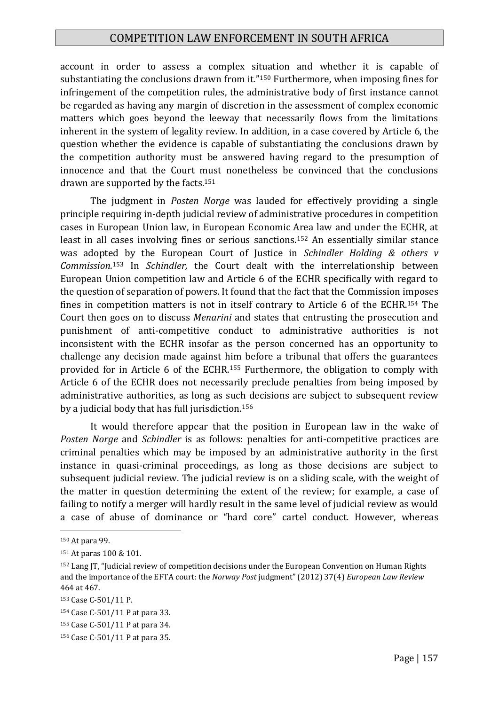account in order to assess a complex situation and whether it is capable of substantiating the conclusions drawn from it."<sup>150</sup> Furthermore, when imposing fines for infringement of the competition rules, the administrative body of first instance cannot be regarded as having any margin of discretion in the assessment of complex economic matters which goes beyond the leeway that necessarily flows from the limitations inherent in the system of legality review. In addition, in a case covered by Article 6, the question whether the evidence is capable of substantiating the conclusions drawn by the competition authority must be answered having regard to the presumption of innocence and that the Court must nonetheless be convinced that the conclusions drawn are supported by the facts.<sup>151</sup>

The judgment in *Posten Norge* was lauded for effectively providing a single principle requiring in-depth judicial review of administrative procedures in competition cases in European Union law, in European Economic Area law and under the ECHR, at least in all cases involving fines or serious sanctions.<sup>152</sup> An essentially similar stance was adopted by the European Court of Justice in *Schindler Holding & others v Commission.*<sup>153</sup> In *Schindler,* the Court dealt with the interrelationship between European Union competition law and Article 6 of the ECHR specifically with regard to the question of separation of powers. It found that the fact that the Commission imposes fines in competition matters is not in itself contrary to Article 6 of the ECHR.<sup>154</sup> The Court then goes on to discuss *Menarini* and states that entrusting the prosecution and punishment of anti-competitive conduct to administrative authorities is not inconsistent with the ECHR insofar as the person concerned has an opportunity to challenge any decision made against him before a tribunal that offers the guarantees provided for in Article 6 of the ECHR.<sup>155</sup> Furthermore, the obligation to comply with Article 6 of the ECHR does not necessarily preclude penalties from being imposed by administrative authorities, as long as such decisions are subject to subsequent review by a judicial body that has full jurisdiction.<sup>156</sup>

It would therefore appear that the position in European law in the wake of *Posten Norge* and *Schindler* is as follows: penalties for anti-competitive practices are criminal penalties which may be imposed by an administrative authority in the first instance in quasi-criminal proceedings, as long as those decisions are subject to subsequent judicial review. The judicial review is on a sliding scale, with the weight of the matter in question determining the extent of the review; for example, a case of failing to notify a merger will hardly result in the same level of judicial review as would a case of abuse of dominance or "hard core" cartel conduct. However, whereas

<sup>150</sup> At para 99.

<sup>151</sup> At paras 100 & 101.

<sup>152</sup> Lang JT, "Judicial review of competition decisions under the European Convention on Human Rights and the importance of the EFTA court: the *Norway Post* judgment" (2012) 37(4) *European Law Review* 464 at 467.

<sup>153</sup> Case C-501/11 P.

<sup>154</sup> Case C-501/11 P at para 33.

<sup>155</sup> Case C-501/11 P at para 34.

<sup>156</sup> Case C-501/11 P at para 35.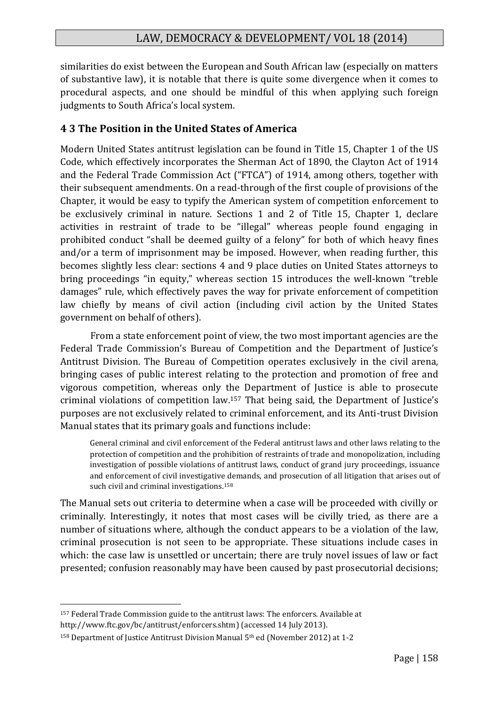similarities do exist between the European and South African law (especially on matters of substantive law), it is notable that there is quite some divergence when it comes to procedural aspects, and one should be mindful of this when applying such foreign judgments to South Africa's local system.

# **4 3 The Position in the United States of America**

Modern United States antitrust legislation can be found in Title 15, Chapter 1 of the US Code, which effectively incorporates the Sherman Act of 1890, the Clayton Act of 1914 and the Federal Trade Commission Act ("FTCA") of 1914, among others, together with their subsequent amendments. On a read-through of the first couple of provisions of the Chapter, it would be easy to typify the American system of competition enforcement to be exclusively criminal in nature. Sections 1 and 2 of Title 15, Chapter 1, declare activities in restraint of trade to be "illegal" whereas people found engaging in prohibited conduct "shall be deemed guilty of a felony" for both of which heavy fines and/or a term of imprisonment may be imposed. However, when reading further, this becomes slightly less clear: sections 4 and 9 place duties on United States attorneys to bring proceedings "in equity," whereas section 15 introduces the well-known "treble damages" rule, which effectively paves the way for private enforcement of competition law chiefly by means of civil action (including civil action by the United States government on behalf of others).

From a state enforcement point of view, the two most important agencies are the Federal Trade Commission's Bureau of Competition and the Department of Justice's Antitrust Division. The Bureau of Competition operates exclusively in the civil arena, bringing cases of public interest relating to the protection and promotion of free and vigorous competition, whereas only the Department of Justice is able to prosecute criminal violations of competition law.<sup>157</sup> That being said, the Department of Justice's purposes are not exclusively related to criminal enforcement, and its Anti-trust Division Manual states that its primary goals and functions include:

General criminal and civil enforcement of the Federal antitrust laws and other laws relating to the protection of competition and the prohibition of restraints of trade and monopolization, including investigation of possible violations of antitrust laws, conduct of grand jury proceedings, issuance and enforcement of civil investigative demands, and prosecution of all litigation that arises out of such civil and criminal investigations.<sup>158</sup>

The Manual sets out criteria to determine when a case will be proceeded with civilly or criminally. Interestingly, it notes that most cases will be civilly tried, as there are a number of situations where, although the conduct appears to be a violation of the law, criminal prosecution is not seen to be appropriate. These situations include cases in which: the case law is unsettled or uncertain; there are truly novel issues of law or fact presented; confusion reasonably may have been caused by past prosecutorial decisions;

<sup>157</sup> Federal Trade Commission guide to the antitrust laws: The enforcers. Available at http://www.ftc.gov/bc/antitrust/enforcers.shtm) (accessed 14 July 2013).

<sup>158</sup> Department of Justice Antitrust Division Manual 5th ed (November 2012) at 1-2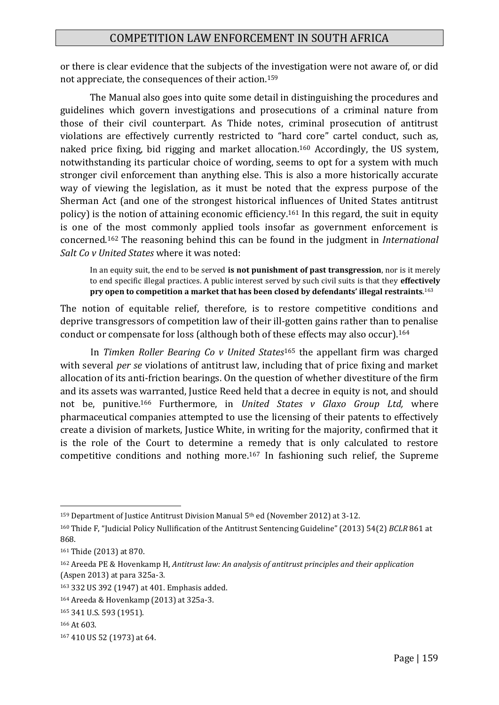or there is clear evidence that the subjects of the investigation were not aware of, or did not appreciate, the consequences of their action.<sup>159</sup>

The Manual also goes into quite some detail in distinguishing the procedures and guidelines which govern investigations and prosecutions of a criminal nature from those of their civil counterpart. As Thide notes, criminal prosecution of antitrust violations are effectively currently restricted to "hard core" cartel conduct, such as, naked price fixing, bid rigging and market allocation.<sup>160</sup> Accordingly, the US system, notwithstanding its particular choice of wording, seems to opt for a system with much stronger civil enforcement than anything else. This is also a more historically accurate way of viewing the legislation, as it must be noted that the express purpose of the Sherman Act (and one of the strongest historical influences of United States antitrust policy) is the notion of attaining economic efficiency.<sup>161</sup> In this regard, the suit in equity is one of the most commonly applied tools insofar as government enforcement is concerned.<sup>162</sup> The reasoning behind this can be found in the judgment in *International Salt Co v United States* where it was noted:

In an equity suit, the end to be served **is not punishment of past transgression**, nor is it merely to end specific illegal practices. A public interest served by such civil suits is that they **effectively pry open to competition a market that has been closed by defendants' illegal restraints**. 163

The notion of equitable relief, therefore, is to restore competitive conditions and deprive transgressors of competition law of their ill-gotten gains rather than to penalise conduct or compensate for loss (although both of these effects may also occur).<sup>164</sup>

In *Timken Roller Bearing Co v United States*<sup>165</sup> the appellant firm was charged with several *per se* violations of antitrust law, including that of price fixing and market allocation of its anti-friction bearings. On the question of whether divestiture of the firm and its assets was warranted, Justice Reed held that a decree in equity is not, and should not be, punitive.<sup>166</sup> Furthermore, in *United States v Glaxo Group Ltd,* where pharmaceutical companies attempted to use the licensing of their patents to effectively create a division of markets, Justice White, in writing for the majority, confirmed that it is the role of the Court to determine a remedy that is only calculated to restore competitive conditions and nothing more.<sup>167</sup> In fashioning such relief, the Supreme

<sup>159</sup> Department of Justice Antitrust Division Manual 5th ed (November 2012) at 3-12.

<sup>160</sup> Thide F, "Judicial Policy Nullification of the Antitrust Sentencing Guideline" (2013) 54(2) *BCLR* 861 at 868.

<sup>161</sup> Thide (2013) at 870.

<sup>162</sup> Areeda PE & Hovenkamp H, *Antitrust law: An analysis of antitrust principles and their application* (Aspen 2013) at para 325a-3.

<sup>163</sup> 332 US 392 (1947) at 401. Emphasis added.

<sup>164</sup> Areeda & Hovenkamp (2013) at 325a-3.

<sup>165</sup> 341 U.S. 593 (1951).

<sup>166</sup> At 603.

<sup>167</sup> 410 US 52 (1973) at 64.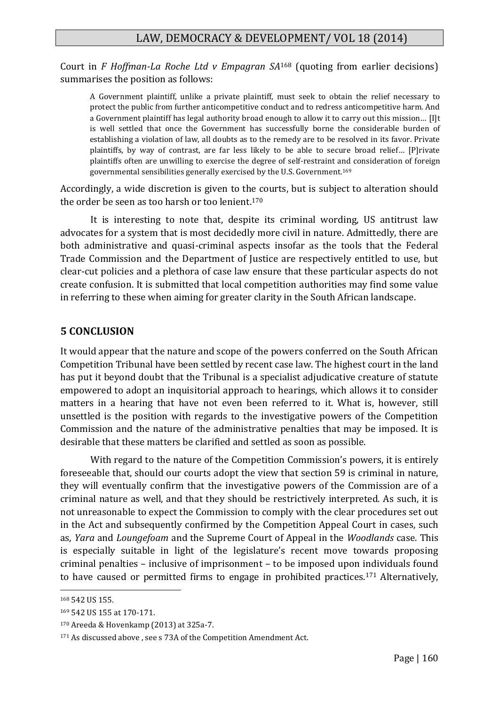Court in *F Hoffman-La Roche Ltd v Empagran SA*<sup>168</sup> (quoting from earlier decisions) summarises the position as follows:

A Government plaintiff, unlike a private plaintiff, must seek to obtain the relief necessary to protect the public from further anticompetitive conduct and to redress anticompetitive harm. And a Government plaintiff has legal authority broad enough to allow it to carry out this mission… [I]t is well settled that once the Government has successfully borne the considerable burden of establishing a violation of law, all doubts as to the remedy are to be resolved in its favor. Private plaintiffs, by way of contrast, are far less likely to be able to secure broad relief… [P]rivate plaintiffs often are unwilling to exercise the degree of self-restraint and consideration of foreign governmental sensibilities generally exercised by the U.S. Government.<sup>169</sup>

Accordingly, a wide discretion is given to the courts, but is subject to alteration should the order be seen as too harsh or too lenient.<sup>170</sup>

It is interesting to note that, despite its criminal wording, US antitrust law advocates for a system that is most decidedly more civil in nature. Admittedly, there are both administrative and quasi-criminal aspects insofar as the tools that the Federal Trade Commission and the Department of Justice are respectively entitled to use, but clear-cut policies and a plethora of case law ensure that these particular aspects do not create confusion. It is submitted that local competition authorities may find some value in referring to these when aiming for greater clarity in the South African landscape.

#### **5 CONCLUSION**

It would appear that the nature and scope of the powers conferred on the South African Competition Tribunal have been settled by recent case law. The highest court in the land has put it beyond doubt that the Tribunal is a specialist adjudicative creature of statute empowered to adopt an inquisitorial approach to hearings, which allows it to consider matters in a hearing that have not even been referred to it. What is, however, still unsettled is the position with regards to the investigative powers of the Competition Commission and the nature of the administrative penalties that may be imposed. It is desirable that these matters be clarified and settled as soon as possible.

With regard to the nature of the Competition Commission's powers, it is entirely foreseeable that, should our courts adopt the view that section 59 is criminal in nature, they will eventually confirm that the investigative powers of the Commission are of a criminal nature as well, and that they should be restrictively interpreted. As such, it is not unreasonable to expect the Commission to comply with the clear procedures set out in the Act and subsequently confirmed by the Competition Appeal Court in cases, such as, *Yara* and *Loungefoam* and the Supreme Court of Appeal in the *Woodlands* case. This is especially suitable in light of the legislature's recent move towards proposing criminal penalties – inclusive of imprisonment – to be imposed upon individuals found to have caused or permitted firms to engage in prohibited practices.<sup>171</sup> Alternatively,

<sup>168</sup> 542 US 155.

<sup>169</sup> 542 US 155 at 170-171.

<sup>170</sup> Areeda & Hovenkamp (2013) at 325a-7.

<sup>171</sup> As discussed above, see s 73A of the Competition Amendment Act.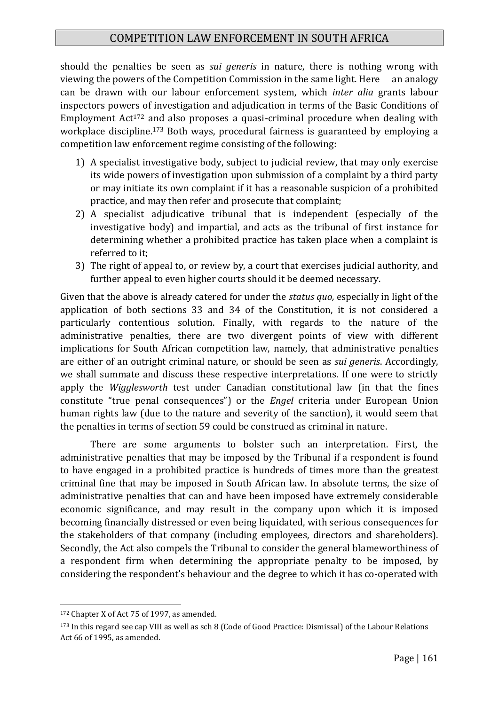should the penalties be seen as *sui generis* in nature, there is nothing wrong with viewing the powers of the Competition Commission in the same light. Here an analogy can be drawn with our labour enforcement system, which *inter alia* grants labour inspectors powers of investigation and adjudication in terms of the Basic Conditions of Employment Act<sup>172</sup> and also proposes a quasi-criminal procedure when dealing with workplace discipline.<sup>173</sup> Both ways, procedural fairness is guaranteed by employing a competition law enforcement regime consisting of the following:

- 1) A specialist investigative body, subject to judicial review, that may only exercise its wide powers of investigation upon submission of a complaint by a third party or may initiate its own complaint if it has a reasonable suspicion of a prohibited practice, and may then refer and prosecute that complaint;
- 2) A specialist adjudicative tribunal that is independent (especially of the investigative body) and impartial, and acts as the tribunal of first instance for determining whether a prohibited practice has taken place when a complaint is referred to it;
- 3) The right of appeal to, or review by, a court that exercises judicial authority, and further appeal to even higher courts should it be deemed necessary.

Given that the above is already catered for under the *status quo,* especially in light of the application of both sections 33 and 34 of the Constitution, it is not considered a particularly contentious solution. Finally, with regards to the nature of the administrative penalties, there are two divergent points of view with different implications for South African competition law, namely, that administrative penalties are either of an outright criminal nature, or should be seen as *sui generis*. Accordingly, we shall summate and discuss these respective interpretations. If one were to strictly apply the *Wigglesworth* test under Canadian constitutional law (in that the fines constitute "true penal consequences") or the *Engel* criteria under European Union human rights law (due to the nature and severity of the sanction), it would seem that the penalties in terms of section 59 could be construed as criminal in nature.

There are some arguments to bolster such an interpretation. First, the administrative penalties that may be imposed by the Tribunal if a respondent is found to have engaged in a prohibited practice is hundreds of times more than the greatest criminal fine that may be imposed in South African law. In absolute terms, the size of administrative penalties that can and have been imposed have extremely considerable economic significance, and may result in the company upon which it is imposed becoming financially distressed or even being liquidated, with serious consequences for the stakeholders of that company (including employees, directors and shareholders). Secondly, the Act also compels the Tribunal to consider the general blameworthiness of a respondent firm when determining the appropriate penalty to be imposed, by considering the respondent's behaviour and the degree to which it has co-operated with

<sup>172</sup> Chapter X of Act 75 of 1997, as amended.

<sup>173</sup> In this regard see cap VIII as well as sch 8 (Code of Good Practice: Dismissal) of the Labour Relations Act 66 of 1995, as amended.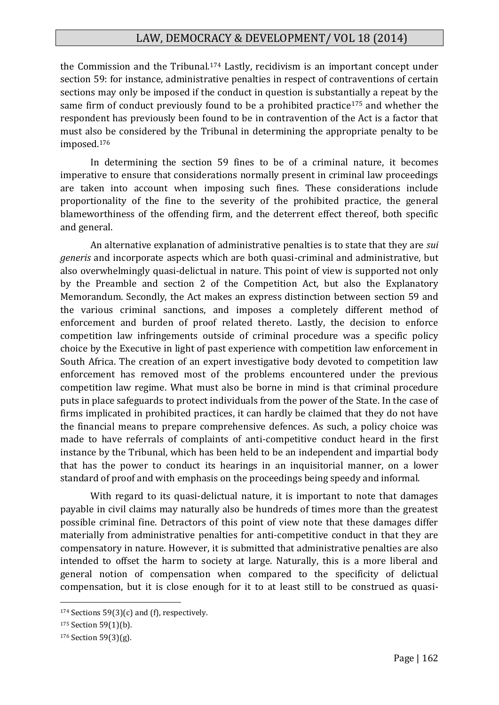the Commission and the Tribunal.<sup>174</sup> Lastly, recidivism is an important concept under section 59: for instance, administrative penalties in respect of contraventions of certain sections may only be imposed if the conduct in question is substantially a repeat by the same firm of conduct previously found to be a prohibited practice<sup>175</sup> and whether the respondent has previously been found to be in contravention of the Act is a factor that must also be considered by the Tribunal in determining the appropriate penalty to be imposed.<sup>176</sup>

In determining the section 59 fines to be of a criminal nature, it becomes imperative to ensure that considerations normally present in criminal law proceedings are taken into account when imposing such fines. These considerations include proportionality of the fine to the severity of the prohibited practice, the general blameworthiness of the offending firm, and the deterrent effect thereof, both specific and general.

An alternative explanation of administrative penalties is to state that they are *sui generis* and incorporate aspects which are both quasi-criminal and administrative, but also overwhelmingly quasi-delictual in nature. This point of view is supported not only by the Preamble and section 2 of the Competition Act, but also the Explanatory Memorandum. Secondly, the Act makes an express distinction between section 59 and the various criminal sanctions, and imposes a completely different method of enforcement and burden of proof related thereto. Lastly, the decision to enforce competition law infringements outside of criminal procedure was a specific policy choice by the Executive in light of past experience with competition law enforcement in South Africa. The creation of an expert investigative body devoted to competition law enforcement has removed most of the problems encountered under the previous competition law regime. What must also be borne in mind is that criminal procedure puts in place safeguards to protect individuals from the power of the State. In the case of firms implicated in prohibited practices, it can hardly be claimed that they do not have the financial means to prepare comprehensive defences. As such, a policy choice was made to have referrals of complaints of anti-competitive conduct heard in the first instance by the Tribunal, which has been held to be an independent and impartial body that has the power to conduct its hearings in an inquisitorial manner, on a lower standard of proof and with emphasis on the proceedings being speedy and informal.

With regard to its quasi-delictual nature, it is important to note that damages payable in civil claims may naturally also be hundreds of times more than the greatest possible criminal fine. Detractors of this point of view note that these damages differ materially from administrative penalties for anti-competitive conduct in that they are compensatory in nature. However, it is submitted that administrative penalties are also intended to offset the harm to society at large. Naturally, this is a more liberal and general notion of compensation when compared to the specificity of delictual compensation, but it is close enough for it to at least still to be construed as quasi-

<sup>&</sup>lt;sup>174</sup> Sections 59(3)(c) and (f), respectively.

<sup>175</sup> Section 59(1)(b).

<sup>176</sup> Section 59(3)(g).